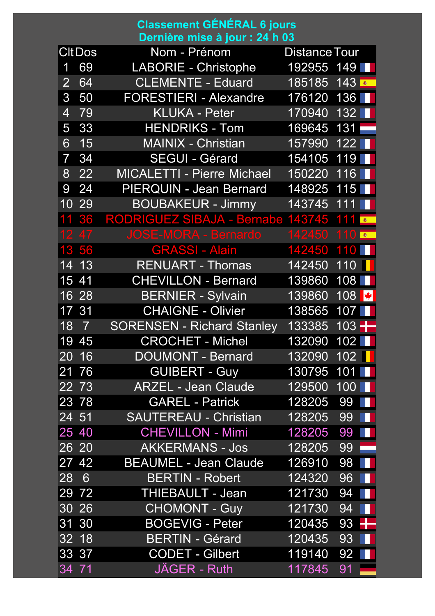## **Classement GÉNÉRAL 6 jours Dernière mise à jour : 24 h 03**

|                | <b>CItDos</b>      | Nom - Prénom                      | Distance Tour |                      |
|----------------|--------------------|-----------------------------------|---------------|----------------------|
| 1              | 69                 | <b>LABORIE - Christophe</b>       | 192955 149    |                      |
| $\overline{2}$ | 64                 | <b>CLEMENTE - Eduard</b>          | 185185        | 143                  |
| 3              | 50                 | <b>FORESTIERI - Alexandre</b>     | 176120        | 136                  |
| $\overline{4}$ | 79                 | <b>KLUKA - Peter</b>              | 170940        | 132                  |
| 5              | 33                 | <b>HENDRIKS - Tom</b>             | 169645        | 131                  |
| 6              | 15                 | MAINIX - Christian                | 157990        | 122                  |
| $\overline{7}$ | 34                 | <b>SEGUI - Gérard</b>             | 154105        | 119                  |
| 8              | 22                 | <b>MICALETTI - Pierre Michael</b> | 150220        | 116                  |
| 9              | 24                 | PIERQUIN - Jean Bernard           | 148925        | 115                  |
| 10             | 29                 | <b>BOUBAKEUR - Jimmy</b>          | 143745        | 111<br>н             |
|                | 36                 | <b>RODRIGUEZ SIBAJA - Bernabe</b> | 143745        | 111<br><b>图</b>      |
| 12             | 47                 | <b>JOSE-MORA - Bernardo</b>       | 142450        | 10<br>寨              |
| 13             | 56                 | <b>GRASSI - Alain</b>             | 142450        | 110                  |
| 14             | 13                 | <b>RENUART - Thomas</b>           | 142450        | 110                  |
| 15             | 41                 | <b>CHEVILLON - Bernard</b>        | 139860        | 108                  |
| 16             | 28                 | <b>BERNIER - Sylvain</b>          | 139860        | 108<br>▌¥▏           |
| 17             | 31                 | <b>CHAIGNE - Olivier</b>          | 138565        | 107                  |
| 18             | $\overline{7}$     | <b>SORENSEN - Richard Stanley</b> | 133385        | 103 $+$              |
| 19             | 45                 | <b>CROCHET - Michel</b>           | 132090        | 102                  |
| 20             | 16                 | <b>DOUMONT - Bernard</b>          | 132090        | 102                  |
|                | 21 76              | <b>GUIBERT - Guy</b>              | 130795        | 101                  |
|                | 22 73              | <b>ARZEL - Jean Claude</b>        | 129500        | $100$ $\blacksquare$ |
|                | 23 78              | <b>GAREL - Patrick</b>            | 128205        | 99                   |
|                | 24 51              | <b>SAUTEREAU - Christian</b>      | 128205        | 99<br>ш              |
|                | 25 40              | <b>CHEVILLON - Mimi</b>           | 128205        | 99<br>M.             |
|                | 26 20              | <b>AKKERMANS - Jos</b>            | 128205        | 99                   |
|                | 27 42              | <b>BEAUMEL - Jean Claude</b>      | 126910        | 98<br>M.             |
| 28             | $6\overline{6}$    | <b>BERTIN - Robert</b>            | 124320        | 96<br>Ш              |
|                | 29 72              | <b>THIEBAULT - Jean</b>           | 121730        | 94<br>H              |
|                | 30 26              | <b>CHOMONT - Guy</b>              | 121730        | 94<br>ш              |
|                | 31 30              | <b>BOGEVIG - Peter</b>            | 120435        | ╉<br>93              |
|                | 32 18              | <b>BERTIN - Gérard</b>            | 120435        | 93<br>ш              |
|                | $33 \overline{37}$ | <b>CODET - Gilbert</b>            | 119140        | 92 <b>T</b>          |
| 34 71          |                    | <b>JAGER - Ruth</b>               | 117845        | 91                   |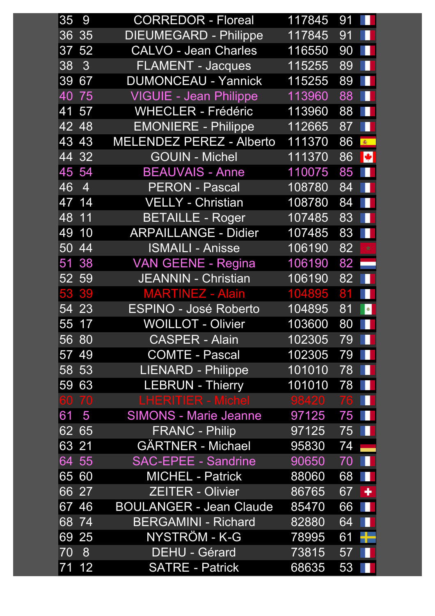| 35      | 9                  | <b>CORREDOR - Floreal</b>       | 117845 | 91 | . .        |
|---------|--------------------|---------------------------------|--------|----|------------|
|         | 3635               | <b>DIEUMEGARD - Philippe</b>    | 117845 | 91 |            |
|         | 37 52              | <b>CALVO - Jean Charles</b>     | 116550 | 90 |            |
| 38      | 3                  | <b>FLAMENT - Jacques</b>        | 115255 | 89 | н          |
| 39 67   |                    | <b>DUMONCEAU - Yannick</b>      | 115255 | 89 |            |
|         | 40 75              | <b>VIGUIE - Jean Philippe</b>   | 113960 | 88 |            |
|         | 41 57              | <b>WHECLER - Frédéric</b>       | 113960 | 88 |            |
| 42      | 48                 | <b>EMONIERE - Philippe</b>      | 112665 | 87 |            |
| 43      | 43                 | <b>MELENDEZ PEREZ - Alberto</b> | 111370 | 86 | ●          |
| 44      | 32                 | <b>GOUIN - Michel</b>           | 111370 | 86 |            |
|         | 45 54              | <b>BEAUVAIS - Anne</b>          | 110075 | 85 |            |
| 46      | $\overline{4}$     | <b>PERON - Pascal</b>           | 108780 | 84 |            |
|         | $47 \overline{14}$ | VELLY - Christian               | 108780 | 84 |            |
| $48$ 11 |                    | <b>BETAILLE - Roger</b>         | 107485 | 83 |            |
|         | 49 10              | <b>ARPAILLANGE - Didier</b>     | 107485 | 83 |            |
| 50      | 44                 | <b>ISMAILI - Anisse</b>         | 106190 | 82 | $\bigstar$ |
| 51      | 38                 | <b>VAN GEENE - Regina</b>       | 106190 | 82 |            |
|         | 52 59              | <b>JEANNIN - Christian</b>      | 106190 | 82 |            |
|         | 53 39              | <b>MARTINEZ - Alain</b>         | 104895 | 81 |            |
|         | 54 23              | <b>ESPINO - José Roberto</b>    | 104895 | 81 | $\bullet$  |
|         | 55 17              | <b>WOILLOT - Olivier</b>        | 103600 | 80 |            |
|         | 56 80              | <b>CASPER - Alain</b>           | 102305 | 79 |            |
| 57      | 49                 | <b>COMTE - Pascal</b>           | 102305 | 79 |            |
| 58      | 53                 | <b>LIENARD - Philippe</b>       | 101010 | 78 |            |
| 59      | 63                 | <b>LEBRUN - Thierry</b>         | 101010 | 78 |            |
|         | 60 70              | LHERITIER - Michel              | 98420  | 76 |            |
| 61      | 5                  | <b>SIMONS - Marie Jeanne</b>    | 97125  | 75 |            |
| 62      | 65                 | <b>FRANC - Philip</b>           | 97125  | 75 |            |
| 63 21   |                    | <b>GÄRTNER - Michael</b>        | 95830  | 74 |            |
|         | 64 55              | SAC-EPEE - Sandrine             | 90650  | 70 |            |
|         | 65 60              | <b>MICHEL - Patrick</b>         | 88060  | 68 |            |
|         | 66 27              | <b>ZEITER - Olivier</b>         | 86765  | 67 | ٠          |
| 67      | 46                 | <b>BOULANGER - Jean Claude</b>  | 85470  | 66 |            |
|         | 68 74              | <b>BERGAMINI - Richard</b>      | 82880  | 64 | Ш          |
|         | 69 25              | NYSTRÖM - K-G                   | 78995  | 61 |            |
| 70      | 8                  | <b>DEHU - Gérard</b>            | 73815  | 57 |            |
|         | 71 12              | <b>SATRE - Patrick</b>          | 68635  | 53 |            |